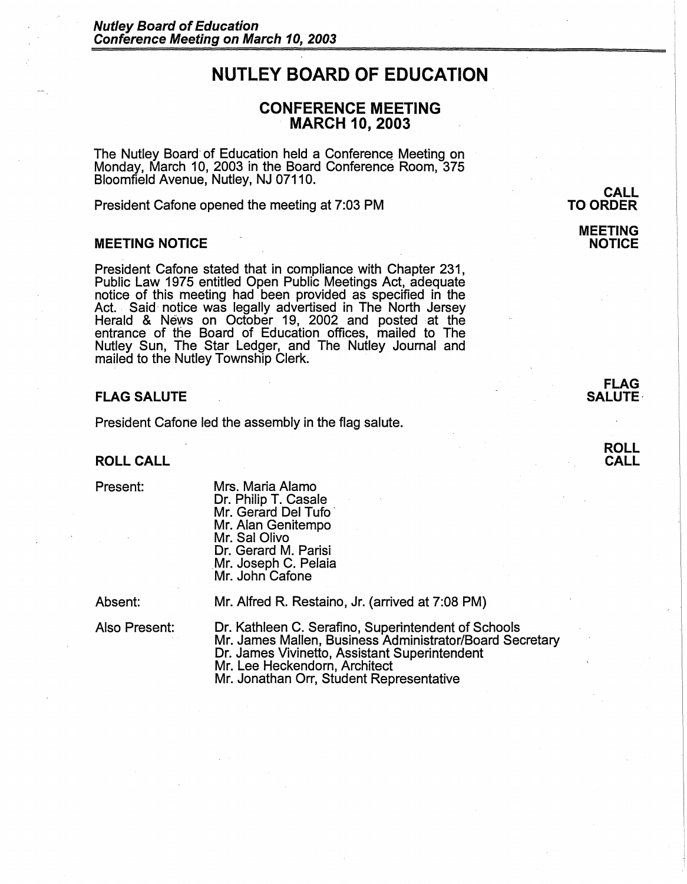# **NUTLEY BOARD OF EDUCATION**

# **CONFERENCE MEETING MARCH 10, 2003**

The Nutley Board of Education held a Conference Meeting on Monday, March 10, 2003 in the Board Conference Room, 375 Bloomfield Avenue, Nutley, NJ 07110.

President Catone opened the meeting at 7:03 PM

#### **MEETING NOTICE**

President Catone stated that in compliance with Chapter 231, Public Law 1975 entitled Open Public Meetings Act, adequate notice of this meeting had been provided as specified in the Act. Said· notice was legally advertised in The North Jersey Herald & News on October 19, 2002 and posted at the entrance of the Board of Education offices, mailed to The Nutley Sun, The Star Ledger, and The Nutley Journal and mailed to the Nutley Township Clerk.

#### **FLAG SALUTE**

President Catone led the assembly in the flag salute.

## **ROLL CALL**

Present:

Mrs. Maria Alamo Dr. Philip T. Casale Mr. Gerard Del Tufo· Mr. Alan Genitempo Mr. Sal Olivo Dr. Gerard M. Parisi Mr. Joseph C. Pelaia Mr. John Cafone

Absent:

Mr. Alfred R. Restaino, Jr. (arrived at 7:08 PM)

Also Present:

Dr. Kathleen C. Serafino, Superintendent of Schools Mr. James Mallen, Business Administrator/Board Secretary Dr. James Vivinetto, Assistant Superintendent Mr. Lee Heckendorn, Architect Mr. Jonathan Orr, Student Representative

**CALL TO ORDER** 

> **MEETING NOTICE**



**ROLL CALL**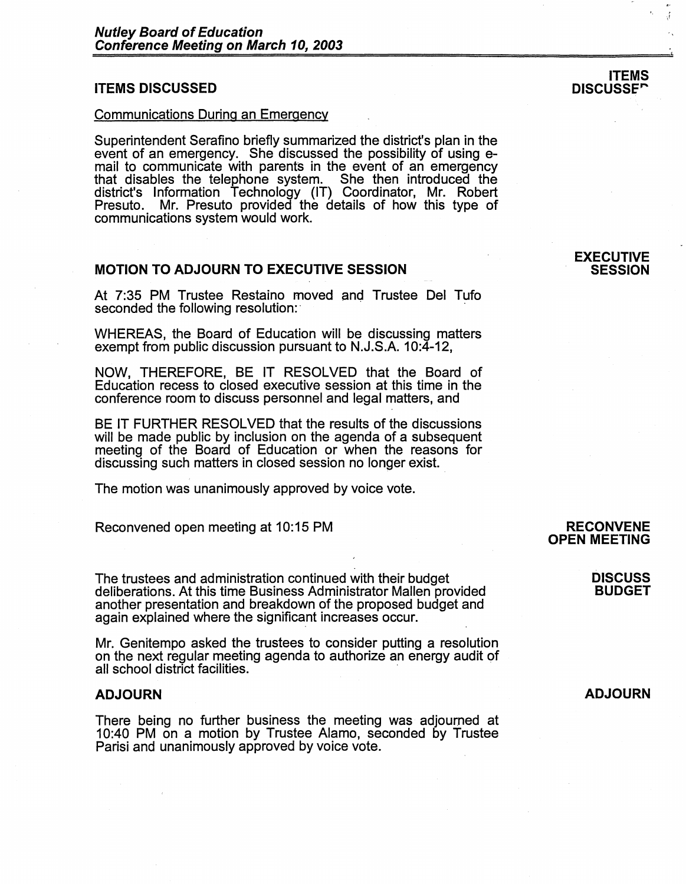# **ITEMS DISCUSSED**

#### Communications During an Emergency

Superintendent Serafino briefly summarized the district's plan in the event of an emergency. She discussed the possibility of using email to communicate with parents in the event of an emergency that disables the telephone system. She then introduced the district's Information Technology (IT) Coordinator, Mr. Robert Presuto. Mr. Presuto provided the details of how this type of communications system would work.

# **MOTION TO ADJOURN TO EXECUTIVE SESSION**

At 7:35 PM Trustee Restaino moved and Trustee Del Tufo seconded the following resolution:

WHEREAS, the Board of Education will be discussing matters exempt from public discussion pursuant to N.J.S.A. 10:4-12,

NOW, THEREFORE, BE IT RESOLVED that the Board of Education recess to closed executive session at this time in the conference room to discuss personnel and legal matters, and

BE IT FURTHER RESOLVED that the results of the discussions will be made public by inclusion on the agenda of a subsequent meeting of the Board of Education or when the reasons for discussing such matters in closed session no longer exist.

The motion was unanimously approved by voice vote.

Reconvened open meeting at 10:15 PM

The trustees and administration continued with their budget deliberations. At this time Business Administrator Mallen provided another presentation and breakdown of the proposed budget and again explained where the significant increases occur.

Mr. Genitempo asked the trustees to consider putting a resolution on the next regular meeting agenda to authorize an energy audit of all school district facilities.

## **ADJOURN**

There being no further business the meeting was adjourned at 10:40 PM on a motion by Trustee Alamo, seconded by Trustee Parisi and unanimously approved by voice vote.

# **RECONVENE OPEN MEETING**

**DISCUSS BUDGET** 

# **ADJOURN**

# **ITEMS DISCUSSE<sup>r</sup>**

#### **EXECUTIVE SESSION**